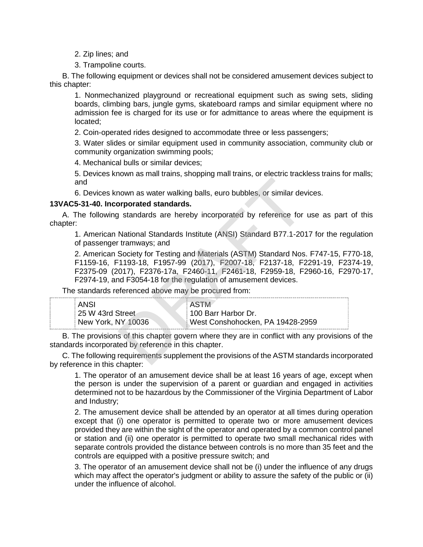- 2. Zip lines; and
- 3. Trampoline courts.

B. The following equipment or devices shall not be considered amusement devices subject to this chapter:

1. Nonmechanized playground or recreational equipment such as swing sets, sliding boards, climbing bars, jungle gyms, skateboard ramps and similar equipment where no admission fee is charged for its use or for admittance to areas where the equipment is located;

2. Coin-operated rides designed to accommodate three or less passengers;

3. Water slides or similar equipment used in community association, community club or community organization swimming pools;

4. Mechanical bulls or similar devices;

5. Devices known as mall trains, shopping mall trains, or electric trackless trains for malls; and

6. Devices known as water walking balls, euro bubbles, or similar devices.

# **13VAC5-31-40. Incorporated standards.**

A. The following standards are hereby incorporated by reference for use as part of this chapter:

1. American National Standards Institute (ANSI) Standard B77.1-2017 for the regulation of passenger tramways; and

2. American Society for Testing and Materials (ASTM) Standard Nos. F747-15, F770-18, F1159-16, F1193-18, F1957-99 (2017), F2007-18, F2137-18, F2291-19, F2374-19, F2375-09 (2017), F2376-17a, F2460-11, F2461-18, F2959-18, F2960-16, F2970-17, F2974-19, and F3054-18 for the regulation of amusement devices. nown as water walking balls, euro bubbles, or similar developred standards.<br>
The standards are hereby incorporated by reference for<br>
National Standards Institute (ANSI) Standard B77.1-20<br>
Tramways; and<br>
Society for Testing

The standards referenced above may be procured from:

| ANSI               | : ASTM                           |
|--------------------|----------------------------------|
| 25 W 43rd Street   | #100 Barr Harbor Dr.             |
| New York, NY 10036 | West Conshohocken, PA 19428-2959 |

B. The provisions of this chapter govern where they are in conflict with any provisions of the standards incorporated by reference in this chapter.

C. The following requirements supplement the provisions of the ASTM standards incorporated by reference in this chapter:

1. The operator of an amusement device shall be at least 16 years of age, except when the person is under the supervision of a parent or guardian and engaged in activities determined not to be hazardous by the Commissioner of the Virginia Department of Labor and Industry;

2. The amusement device shall be attended by an operator at all times during operation except that (i) one operator is permitted to operate two or more amusement devices provided they are within the sight of the operator and operated by a common control panel or station and (ii) one operator is permitted to operate two small mechanical rides with separate controls provided the distance between controls is no more than 35 feet and the controls are equipped with a positive pressure switch; and

3. The operator of an amusement device shall not be (i) under the influence of any drugs which may affect the operator's judgment or ability to assure the safety of the public or (ii) under the influence of alcohol.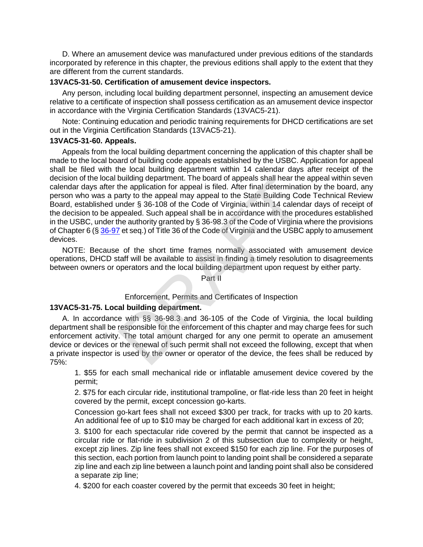D. Where an amusement device was manufactured under previous editions of the standards incorporated by reference in this chapter, the previous editions shall apply to the extent that they are different from the current standards.

# **13VAC5-31-50. Certification of amusement device inspectors.**

Any person, including local building department personnel, inspecting an amusement device relative to a certificate of inspection shall possess certification as an amusement device inspector in accordance with the Virginia Certification Standards (13VAC5-21).

Note: Continuing education and periodic training requirements for DHCD certifications are set out in the Virginia Certification Standards (13VAC5-21).

# **13VAC5-31-60. Appeals.**

Appeals from the local building department concerning the application of this chapter shall be made to the local board of building code appeals established by the USBC. Application for appeal shall be filed with the local building department within 14 calendar days after receipt of the decision of the local building department. The board of appeals shall hear the appeal within seven calendar days after the application for appeal is filed. After final determination by the board, any person who was a party to the appeal may appeal to the State Building Code Technical Review Board, established under § 36-108 of the Code of Virginia, within 14 calendar days of receipt of the decision to be appealed. Such appeal shall be in accordance with the procedures established in the USBC, under the authority granted by § 36-98.3 of the Code of Virginia where the provisions of Chapter 6 ([§ 36-97](http://lis.virginia.gov/cgi-bin/legp604.exe?000+cod+36-97) et seq.) of Title 36 of the Code of Virginia and the USBC apply to amusement devices. bullarlarg department. The board of appeals shall hear the<br>the application for appeal is filed. After final determination<br>arty to the appeal may appeal to the State Building Cod<br>under § 36-108 of the Code of Virginia, with

NOTE: Because of the short time frames normally associated with amusement device operations, DHCD staff will be available to assist in finding a timely resolution to disagreements between owners or operators and the local building department upon request by either party.

Part II

# Enforcement, Permits and Certificates of Inspection

# **13VAC5-31-75. Local building department.**

A. In accordance with §§ 36-98.3 and 36-105 of the Code of Virginia, the local building department shall be responsible for the enforcement of this chapter and may charge fees for such enforcement activity. The total amount charged for any one permit to operate an amusement device or devices or the renewal of such permit shall not exceed the following, except that when a private inspector is used by the owner or operator of the device, the fees shall be reduced by 75%:

1. \$55 for each small mechanical ride or inflatable amusement device covered by the permit;

2. \$75 for each circular ride, institutional trampoline, or flat-ride less than 20 feet in height covered by the permit, except concession go-karts.

Concession go-kart fees shall not exceed \$300 per track, for tracks with up to 20 karts. An additional fee of up to \$10 may be charged for each additional kart in excess of 20;

3. \$100 for each spectacular ride covered by the permit that cannot be inspected as a circular ride or flat-ride in subdivision 2 of this subsection due to complexity or height, except zip lines. Zip line fees shall not exceed \$150 for each zip line. For the purposes of this section, each portion from launch point to landing point shall be considered a separate zip line and each zip line between a launch point and landing point shall also be considered a separate zip line;

4. \$200 for each coaster covered by the permit that exceeds 30 feet in height;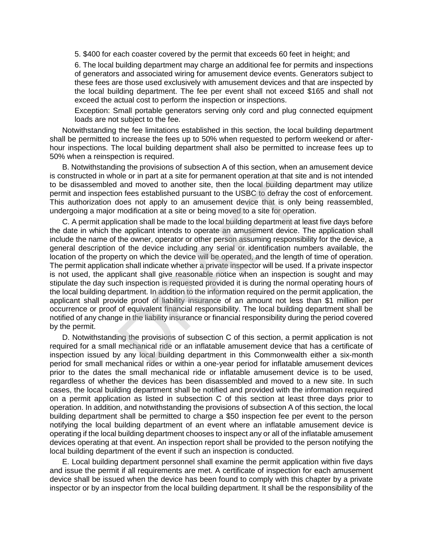5. \$400 for each coaster covered by the permit that exceeds 60 feet in height; and

6. The local building department may charge an additional fee for permits and inspections of generators and associated wiring for amusement device events. Generators subject to these fees are those used exclusively with amusement devices and that are inspected by the local building department. The fee per event shall not exceed \$165 and shall not exceed the actual cost to perform the inspection or inspections.

Exception: Small portable generators serving only cord and plug connected equipment loads are not subject to the fee.

Notwithstanding the fee limitations established in this section, the local building department shall be permitted to increase the fees up to 50% when requested to perform weekend or afterhour inspections. The local building department shall also be permitted to increase fees up to 50% when a reinspection is required.

B. Notwithstanding the provisions of subsection A of this section, when an amusement device is constructed in whole or in part at a site for permanent operation at that site and is not intended to be disassembled and moved to another site, then the local building department may utilize permit and inspection fees established pursuant to the USBC to defray the cost of enforcement. This authorization does not apply to an amusement device that is only being reassembled, undergoing a major modification at a site or being moved to a site for operation.

C. A permit application shall be made to the local building department at least five days before the date in which the applicant intends to operate an amusement device. The application shall include the name of the owner, operator or other person assuming responsibility for the device, a general description of the device including any serial or identification numbers available, the location of the property on which the device will be operated, and the length of time of operation. The permit application shall indicate whether a private inspector will be used. If a private inspector is not used, the applicant shall give reasonable notice when an inspection is sought and may stipulate the day such inspection is requested provided it is during the normal operating hours of the local building department. In addition to the information required on the permit application, the applicant shall provide proof of liability insurance of an amount not less than \$1 million per occurrence or proof of equivalent financial responsibility. The local building department shall be notified of any change in the liability insurance or financial responsibility during the period covered by the permit. For a real of the local building dependent of the local building dependent of the and moved to another site, then the local building dependence is the does not apply to an amusement device that is only lmodification at a s

D. Notwithstanding the provisions of subsection C of this section, a permit application is not required for a small mechanical ride or an inflatable amusement device that has a certificate of inspection issued by any local building department in this Commonwealth either a six-month period for small mechanical rides or within a one-year period for inflatable amusement devices prior to the dates the small mechanical ride or inflatable amusement device is to be used, regardless of whether the devices has been disassembled and moved to a new site. In such cases, the local building department shall be notified and provided with the information required on a permit application as listed in subsection C of this section at least three days prior to operation. In addition, and notwithstanding the provisions of subsection A of this section, the local building department shall be permitted to charge a \$50 inspection fee per event to the person notifying the local building department of an event where an inflatable amusement device is operating if the local building department chooses to inspect any or all of the inflatable amusement devices operating at that event. An inspection report shall be provided to the person notifying the local building department of the event if such an inspection is conducted.

E. Local building department personnel shall examine the permit application within five days and issue the permit if all requirements are met. A certificate of inspection for each amusement device shall be issued when the device has been found to comply with this chapter by a private inspector or by an inspector from the local building department. It shall be the responsibility of the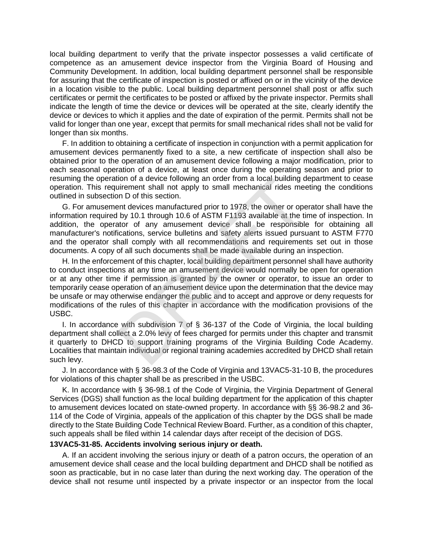local building department to verify that the private inspector possesses a valid certificate of competence as an amusement device inspector from the Virginia Board of Housing and Community Development. In addition, local building department personnel shall be responsible for assuring that the certificate of inspection is posted or affixed on or in the vicinity of the device in a location visible to the public. Local building department personnel shall post or affix such certificates or permit the certificates to be posted or affixed by the private inspector. Permits shall indicate the length of time the device or devices will be operated at the site, clearly identify the device or devices to which it applies and the date of expiration of the permit. Permits shall not be valid for longer than one year, except that permits for small mechanical rides shall not be valid for longer than six months.

F. In addition to obtaining a certificate of inspection in conjunction with a permit application for amusement devices permanently fixed to a site, a new certificate of inspection shall also be obtained prior to the operation of an amusement device following a major modification, prior to each seasonal operation of a device, at least once during the operating season and prior to resuming the operation of a device following an order from a local building department to cease operation. This requirement shall not apply to small mechanical rides meeting the conditions outlined in subsection D of this section.

G. For amusement devices manufactured prior to 1978, the owner or operator shall have the information required by 10.1 through 10.6 of ASTM F1193 available at the time of inspection. In addition, the operator of any amusement device shall be responsible for obtaining all manufacturer's notifications, service bulletins and safety alerts issued pursuant to ASTM F770 and the operator shall comply with all recommendations and requirements set out in those documents. A copy of all such documents shall be made available during an inspection.

H. In the enforcement of this chapter, local building department personnel shall have authority to conduct inspections at any time an amusement device would normally be open for operation or at any other time if permission is granted by the owner or operator, to issue an order to temporarily cease operation of an amusement device upon the determination that the device may be unsafe or may otherwise endanger the public and to accept and approve or deny requests for modifications of the rules of this chapter in accordance with the modification provisions of the USBC. ion of a device following an order from a local building c<br>internet shall not apply to small mechanical rides me<br>in D of this section.<br>In devices manufactured prior to 1978, the owner or ope<br>int devices manufactured prior

I. In accordance with subdivision 7 of § 36-137 of the Code of Virginia, the local building department shall collect a 2.0% levy of fees charged for permits under this chapter and transmit it quarterly to DHCD to support training programs of the Virginia Building Code Academy. Localities that maintain individual or regional training academies accredited by DHCD shall retain such levy.

J. In accordance with § 36-98.3 of the Code of Virginia and 13VAC5-31-10 B, the procedures for violations of this chapter shall be as prescribed in the USBC.

K. In accordance with § 36-98.1 of the Code of Virginia, the Virginia Department of General Services (DGS) shall function as the local building department for the application of this chapter to amusement devices located on state-owned property. In accordance with §§ 36-98.2 and 36- 114 of the Code of Virginia, appeals of the application of this chapter by the DGS shall be made directly to the State Building Code Technical Review Board. Further, as a condition of this chapter, such appeals shall be filed within 14 calendar days after receipt of the decision of DGS.

# **13VAC5-31-85. Accidents involving serious injury or death.**

A. If an accident involving the serious injury or death of a patron occurs, the operation of an amusement device shall cease and the local building department and DHCD shall be notified as soon as practicable, but in no case later than during the next working day. The operation of the device shall not resume until inspected by a private inspector or an inspector from the local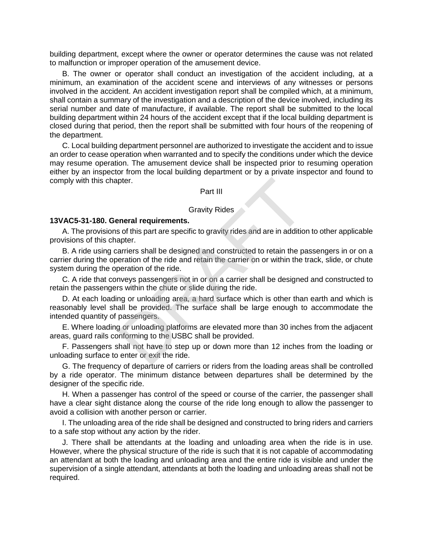building department, except where the owner or operator determines the cause was not related to malfunction or improper operation of the amusement device.

B. The owner or operator shall conduct an investigation of the accident including, at a minimum, an examination of the accident scene and interviews of any witnesses or persons involved in the accident. An accident investigation report shall be compiled which, at a minimum, shall contain a summary of the investigation and a description of the device involved, including its serial number and date of manufacture, if available. The report shall be submitted to the local building department within 24 hours of the accident except that if the local building department is closed during that period, then the report shall be submitted with four hours of the reopening of the department.

C. Local building department personnel are authorized to investigate the accident and to issue an order to cease operation when warranted and to specify the conditions under which the device may resume operation. The amusement device shall be inspected prior to resuming operation either by an inspector from the local building department or by a private inspector and found to comply with this chapter.

### Part III

#### Gravity Rides

#### **13VAC5-31-180. General requirements.**

A. The provisions of this part are specific to gravity rides and are in addition to other applicable provisions of this chapter.

B. A ride using carriers shall be designed and constructed to retain the passengers in or on a carrier during the operation of the ride and retain the carrier on or within the track, slide, or chute system during the operation of the ride.

C. A ride that conveys passengers not in or on a carrier shall be designed and constructed to retain the passengers within the chute or slide during the ride.

D. At each loading or unloading area, a hard surface which is other than earth and which is reasonably level shall be provided. The surface shall be large enough to accommodate the intended quantity of passengers. Part III<br>
Gravity Rides<br>
Serverty Rides<br>
Serverty Rides<br>
Serverty Rides<br>
Serverty Rides<br>
Serverty Rides<br>
Serverty Rides<br>
Serverty Space and Constructed to retain the paration of the ride and retain the carrier on or within

E. Where loading or unloading platforms are elevated more than 30 inches from the adjacent areas, guard rails conforming to the USBC shall be provided.

F. Passengers shall not have to step up or down more than 12 inches from the loading or unloading surface to enter or exit the ride.

G. The frequency of departure of carriers or riders from the loading areas shall be controlled by a ride operator. The minimum distance between departures shall be determined by the designer of the specific ride.

H. When a passenger has control of the speed or course of the carrier, the passenger shall have a clear sight distance along the course of the ride long enough to allow the passenger to avoid a collision with another person or carrier.

I. The unloading area of the ride shall be designed and constructed to bring riders and carriers to a safe stop without any action by the rider.

J. There shall be attendants at the loading and unloading area when the ride is in use. However, where the physical structure of the ride is such that it is not capable of accommodating an attendant at both the loading and unloading area and the entire ride is visible and under the supervision of a single attendant, attendants at both the loading and unloading areas shall not be required.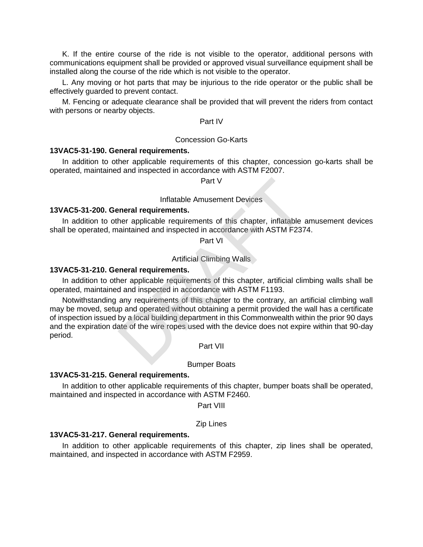K. If the entire course of the ride is not visible to the operator, additional persons with communications equipment shall be provided or approved visual surveillance equipment shall be installed along the course of the ride which is not visible to the operator.

L. Any moving or hot parts that may be injurious to the ride operator or the public shall be effectively guarded to prevent contact.

M. Fencing or adequate clearance shall be provided that will prevent the riders from contact with persons or nearby objects.

### Part IV

### Concession Go-Karts

#### **13VAC5-31-190. General requirements.**

In addition to other applicable requirements of this chapter, concession go-karts shall be operated, maintained and inspected in accordance with ASTM F2007.

Part V

#### Inflatable Amusement Devices

## **13VAC5-31-200. General requirements.**

In addition to other applicable requirements of this chapter, inflatable amusement devices shall be operated, maintained and inspected in accordance with ASTM F2374.

Part VI

Artificial Climbing Walls

### **13VAC5-31-210. General requirements.**

In addition to other applicable requirements of this chapter, artificial climbing walls shall be operated, maintained and inspected in accordance with ASTM F1193.

Notwithstanding any requirements of this chapter to the contrary, an artificial climbing wall may be moved, setup and operated without obtaining a permit provided the wall has a certificate of inspection issued by a local building department in this Commonwealth within the prior 90 days and the expiration date of the wire ropes used with the device does not expire within that 90-day period. Part V<br>
Inflatable Amusement Devices<br>
Inflatable requirements of this chapter, inflatable a<br>
aintained and inspected in accordance with ASTM F237<br>
Part VI<br>
Artificial Climbing Walls<br> **PART VI**<br>
Artificial Climbing Walls<br>

Part VII

#### Bumper Boats

### **13VAC5-31-215. General requirements.**

In addition to other applicable requirements of this chapter, bumper boats shall be operated, maintained and inspected in accordance with ASTM F2460.

Part VIII

#### Zip Lines

### **13VAC5-31-217. General requirements.**

In addition to other applicable requirements of this chapter, zip lines shall be operated, maintained, and inspected in accordance with ASTM F2959.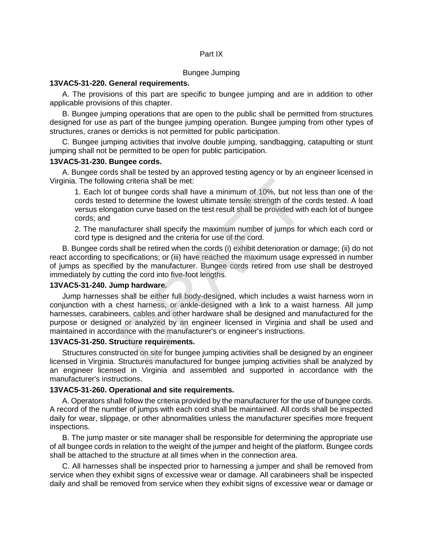### Part IX

### Bungee Jumping

### **13VAC5-31-220. General requirements.**

A. The provisions of this part are specific to bungee jumping and are in addition to other applicable provisions of this chapter.

B. Bungee jumping operations that are open to the public shall be permitted from structures designed for use as part of the bungee jumping operation. Bungee jumping from other types of structures, cranes or derricks is not permitted for public participation.

C. Bungee jumping activities that involve double jumping, sandbagging, catapulting or stunt jumping shall not be permitted to be open for public participation.

### **13VAC5-31-230. Bungee cords.**

A. Bungee cords shall be tested by an approved testing agency or by an engineer licensed in Virginia. The following criteria shall be met:

1. Each lot of bungee cords shall have a minimum of 10%, but not less than one of the cords tested to determine the lowest ultimate tensile strength of the cords tested. A load versus elongation curve based on the test result shall be provided with each lot of bungee cords; and

2. The manufacturer shall specify the maximum number of jumps for which each cord or cord type is designed and the criteria for use of the cord.

B. Bungee cords shall be retired when the cords (i) exhibit deterioration or damage; (ii) do not react according to specifications; or (iii) have reached the maximum usage expressed in number of jumps as specified by the manufacturer. Bungee cords retired from use shall be destroyed immediately by cutting the cord into five-foot lengths.

# **13VAC5-31-240. Jump hardware.**

Jump harnesses shall be either full body-designed, which includes a waist harness worn in conjunction with a chest harness, or ankle-designed with a link to a waist harness. All jump harnesses, carabineers, cables and other hardware shall be designed and manufactured for the purpose or designed or analyzed by an engineer licensed in Virginia and shall be used and maintained in accordance with the manufacturer's or engineer's instructions. ng criteria shall be met:<br>
If bungee cords shall have a minimum of 10%, but not I<br>
to determine the lowest ultimate tensile strength of the i<br>
ation curve based on the test result shall be provided with<br>
facturer shall spe

# **13VAC5-31-250. Structure requirements.**

Structures constructed on site for bungee jumping activities shall be designed by an engineer licensed in Virginia. Structures manufactured for bungee jumping activities shall be analyzed by an engineer licensed in Virginia and assembled and supported in accordance with the manufacturer's instructions.

## **13VAC5-31-260. Operational and site requirements.**

A. Operators shall follow the criteria provided by the manufacturer for the use of bungee cords. A record of the number of jumps with each cord shall be maintained. All cords shall be inspected daily for wear, slippage, or other abnormalities unless the manufacturer specifies more frequent inspections.

B. The jump master or site manager shall be responsible for determining the appropriate use of all bungee cords in relation to the weight of the jumper and height of the platform. Bungee cords shall be attached to the structure at all times when in the connection area.

C. All harnesses shall be inspected prior to harnessing a jumper and shall be removed from service when they exhibit signs of excessive wear or damage. All carabineers shall be inspected daily and shall be removed from service when they exhibit signs of excessive wear or damage or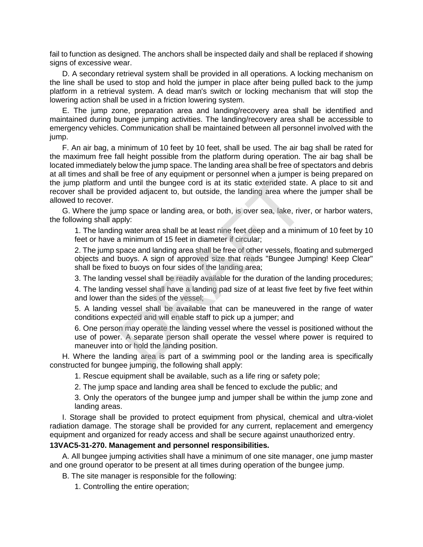fail to function as designed. The anchors shall be inspected daily and shall be replaced if showing signs of excessive wear.

D. A secondary retrieval system shall be provided in all operations. A locking mechanism on the line shall be used to stop and hold the jumper in place after being pulled back to the jump platform in a retrieval system. A dead man's switch or locking mechanism that will stop the lowering action shall be used in a friction lowering system.

E. The jump zone, preparation area and landing/recovery area shall be identified and maintained during bungee jumping activities. The landing/recovery area shall be accessible to emergency vehicles. Communication shall be maintained between all personnel involved with the jump.

F. An air bag, a minimum of 10 feet by 10 feet, shall be used. The air bag shall be rated for the maximum free fall height possible from the platform during operation. The air bag shall be located immediately below the jump space. The landing area shall be free of spectators and debris at all times and shall be free of any equipment or personnel when a jumper is being prepared on the jump platform and until the bungee cord is at its static extended state. A place to sit and recover shall be provided adjacent to, but outside, the landing area where the jumper shall be allowed to recover. nd until the bungee cord is at its static extended state<br>wided adjacent to, but outside, the landing area where<br>mp space or landing area, or both, is over sea, lake, rive<br>pply:<br>g water area shall be at least nine feet deep

G. Where the jump space or landing area, or both, is over sea, lake, river, or harbor waters, the following shall apply:

1. The landing water area shall be at least nine feet deep and a minimum of 10 feet by 10 feet or have a minimum of 15 feet in diameter if circular;

2. The jump space and landing area shall be free of other vessels, floating and submerged objects and buoys. A sign of approved size that reads "Bungee Jumping! Keep Clear" shall be fixed to buoys on four sides of the landing area;

3. The landing vessel shall be readily available for the duration of the landing procedures;

4. The landing vessel shall have a landing pad size of at least five feet by five feet within and lower than the sides of the vessel;

5. A landing vessel shall be available that can be maneuvered in the range of water conditions expected and will enable staff to pick up a jumper; and

6. One person may operate the landing vessel where the vessel is positioned without the use of power. A separate person shall operate the vessel where power is required to maneuver into or hold the landing position.

H. Where the landing area is part of a swimming pool or the landing area is specifically constructed for bungee jumping, the following shall apply:

1. Rescue equipment shall be available, such as a life ring or safety pole;

2. The jump space and landing area shall be fenced to exclude the public; and

3. Only the operators of the bungee jump and jumper shall be within the jump zone and landing areas.

I. Storage shall be provided to protect equipment from physical, chemical and ultra-violet radiation damage. The storage shall be provided for any current, replacement and emergency equipment and organized for ready access and shall be secure against unauthorized entry.

## **13VAC5-31-270. Management and personnel responsibilities.**

A. All bungee jumping activities shall have a minimum of one site manager, one jump master and one ground operator to be present at all times during operation of the bungee jump.

B. The site manager is responsible for the following:

1. Controlling the entire operation;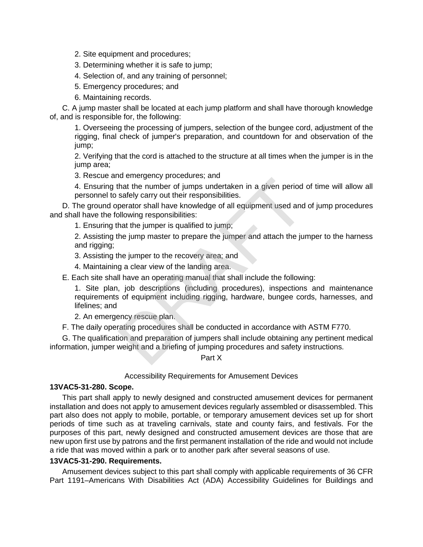- 2. Site equipment and procedures;
- 3. Determining whether it is safe to jump;
- 4. Selection of, and any training of personnel;
- 5. Emergency procedures; and
- 6. Maintaining records.

C. A jump master shall be located at each jump platform and shall have thorough knowledge of, and is responsible for, the following:

1. Overseeing the processing of jumpers, selection of the bungee cord, adjustment of the rigging, final check of jumper's preparation, and countdown for and observation of the jump;

2. Verifying that the cord is attached to the structure at all times when the jumper is in the jump area;

3. Rescue and emergency procedures; and

4. Ensuring that the number of jumps undertaken in a given period of time will allow all personnel to safely carry out their responsibilities.

D. The ground operator shall have knowledge of all equipment used and of jump procedures and shall have the following responsibilities:

1. Ensuring that the jumper is qualified to jump;

2. Assisting the jump master to prepare the jumper and attach the jumper to the harness and rigging;

3. Assisting the jumper to the recovery area; and

4. Maintaining a clear view of the landing area.

E. Each site shall have an operating manual that shall include the following:

1. Site plan, job descriptions (including procedures), inspections and maintenance requirements of equipment including rigging, hardware, bungee cords, harnesses, and lifelines; and at the number of jumps undertaken in a given period<br>safely carry out their responsibilities.<br>Bready carry out their responsibilities.<br>Departor shall have knowledge of all equipment used and<br>pllowing responsibilities:<br>that

2. An emergency rescue plan.

F. The daily operating procedures shall be conducted in accordance with ASTM F770.

G. The qualification and preparation of jumpers shall include obtaining any pertinent medical information, jumper weight and a briefing of jumping procedures and safety instructions.

## Part X

## Accessibility Requirements for Amusement Devices

# **13VAC5-31-280. Scope.**

This part shall apply to newly designed and constructed amusement devices for permanent installation and does not apply to amusement devices regularly assembled or disassembled. This part also does not apply to mobile, portable, or temporary amusement devices set up for short periods of time such as at traveling carnivals, state and county fairs, and festivals. For the purposes of this part, newly designed and constructed amusement devices are those that are new upon first use by patrons and the first permanent installation of the ride and would not include a ride that was moved within a park or to another park after several seasons of use.

## **13VAC5-31-290. Requirements.**

Amusement devices subject to this part shall comply with applicable requirements of 36 CFR Part 1191–Americans With Disabilities Act (ADA) Accessibility Guidelines for Buildings and